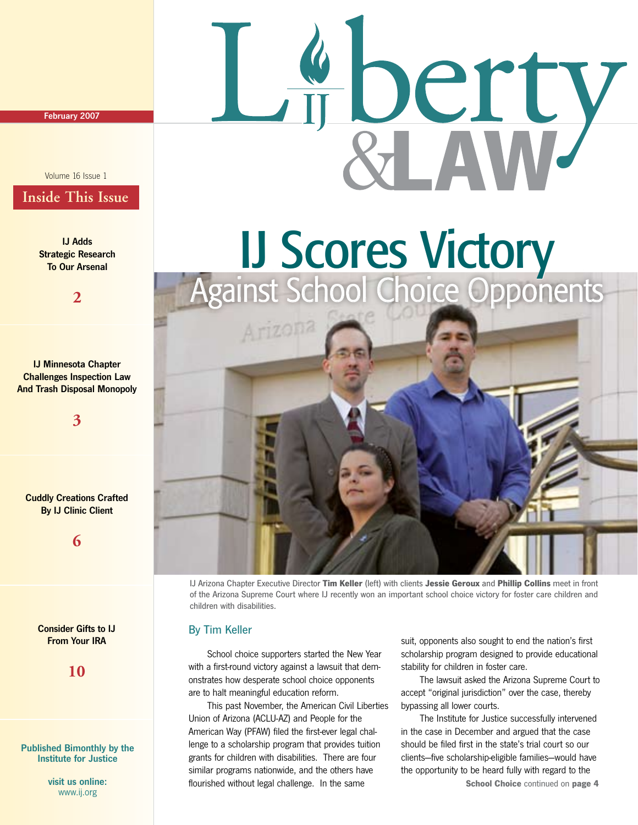February 2007

### Volume 16 Issue 1

### **Inside This Issue**

IJ Adds Strategic Research To Our Arsenal

**2**

IJ Minnesota Chapter Challenges Inspection Law And Trash Disposal Monopoly

**3**

Cuddly Creations Crafted **By IJ Clinic Client** 

**6**

Consider Gifts to IJ From Your IRA

**10**

### Published Bimonthly by the Institute for Justice

visit us online: www.ij.org

# IJ Scores Victory Against School Choice Opponents



IJ Arizona Chapter Executive Director **Tim Keller** (left) with clients **Jessie Geroux** and **Phillip Collins** meet in front of the Arizona Supreme Court where IJ recently won an important school choice victory for foster care children and children with disabilities.

### By Tim Keller

 School choice supporters started the New Year with a first-round victory against a lawsuit that demonstrates how desperate school choice opponents are to halt meaningful education reform.

 This past November, the American Civil Liberties Union of Arizona (ACLU-AZ) and People for the American Way (PFAW) filed the first-ever legal challenge to a scholarship program that provides tuition grants for children with disabilities. There are four similar programs nationwide, and the others have flourished without legal challenge. In the same

suit, opponents also sought to end the nation's first scholarship program designed to provide educational stability for children in foster care.

perty

 The lawsuit asked the Arizona Supreme Court to accept "original jurisdiction" over the case, thereby bypassing all lower courts.

 The Institute for Justice successfully intervened in the case in December and argued that the case should be filed first in the state's trial court so our clients—five scholarship-eligible families—would have the opportunity to be heard fully with regard to the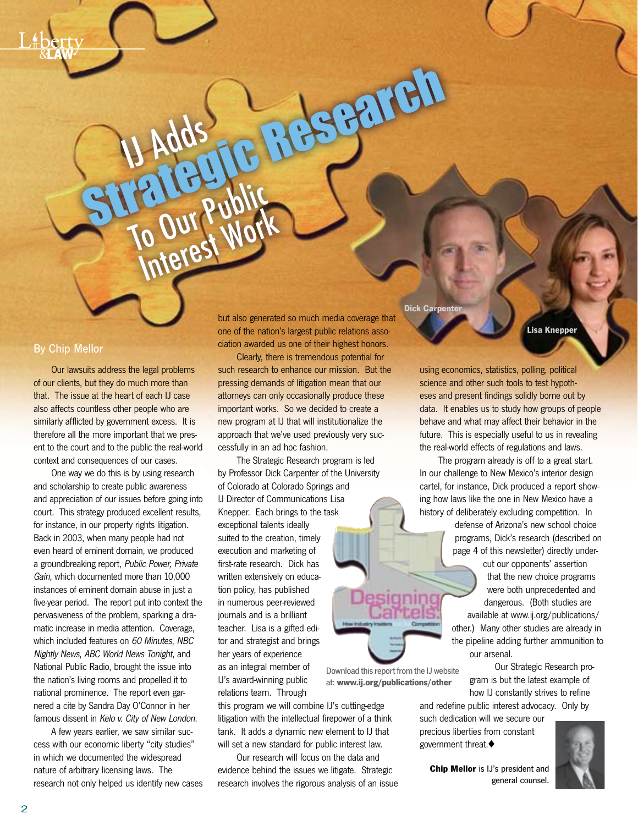### By Chip Mellor

 Our lawsuits address the legal problems of our clients, but they do much more than that. The issue at the heart of each IJ case also affects countless other people who are similarly afflicted by government excess. It is therefore all the more important that we present to the court and to the public the real-world context and consequences of our cases.

IJ Adds

To Our Public

o Our Kupper

 One way we do this is by using research and scholarship to create public awareness and appreciation of our issues before going into court. This strategy produced excellent results, for instance, in our property rights litigation. Back in 2003, when many people had not even heard of eminent domain, we produced a groundbreaking report, Public Power, Private Gain, which documented more than 10,000 instances of eminent domain abuse in just a five-year period. The report put into context the pervasiveness of the problem, sparking a dramatic increase in media attention. Coverage, which included features on 60 Minutes, NBC Nightly News, ABC World News Tonight, and National Public Radio, brought the issue into the nation's living rooms and propelled it to national prominence. The report even garnered a cite by Sandra Day O'Connor in her famous dissent in Kelo v. City of New London.

 A few years earlier, we saw similar success with our economic liberty "city studies" in which we documented the widespread nature of arbitrary licensing laws. The research not only helped us identify new cases

but also generated so much media coverage that one of the nation's largest public relations association awarded us one of their highest honors.

Stratt

 Clearly, there is tremendous potential for such research to enhance our mission. But the pressing demands of litigation mean that our attorneys can only occasionally produce these important works. So we decided to create a new program at IJ that will institutionalize the approach that we've used previously very successfully in an ad hoc fashion.

 The Strategic Research program is led by Professor Dick Carpenter of the University of Colorado at Colorado Springs and IJ Director of Communications Lisa Knepper. Each brings to the task exceptional talents ideally suited to the creation, timely execution and marketing of first-rate research. Dick has written extensively on education policy, has published in numerous peer-reviewed journals and is a brilliant teacher. Lisa is a gifted editor and strategist and brings her years of experience as an integral member of IJ's award-winning public relations team. Through Download this report from the IJ website at: **www.ij.org/publications/other**

this program we will combine IJ's cutting-edge litigation with the intellectual firepower of a think tank. It adds a dynamic new element to IJ that will set a new standard for public interest law.

 Our research will focus on the data and evidence behind the issues we litigate. Strategic research involves the rigorous analysis of an issue

**Dick Carpente** 

**Lisa Knepper**

using economics, statistics, polling, political science and other such tools to test hypotheses and present findings solidly borne out by data. It enables us to study how groups of people behave and what may affect their behavior in the future. This is especially useful to us in revealing the real-world effects of regulations and laws.

 The program already is off to a great start. In our challenge to New Mexico's interior design cartel, for instance, Dick produced a report showing how laws like the one in New Mexico have a history of deliberately excluding competition. In

> defense of Arizona's new school choice programs, Dick's research (described on page 4 of this newsletter) directly under-

> cut our opponents' assertion that the new choice programs were both unprecedented and dangerous. (Both studies are available at www.ij.org/publications/ other.) Many other studies are already in the pipeline adding further ammunition to our arsenal.

> > Our Strategic Research program is but the latest example of how IJ constantly strives to refine

and redefine public interest advocacy. Only by such dedication will we secure our

precious liberties from constant government threat. $\blacklozenge$ 



**Chip Mellor** is IJ's president and general counsel.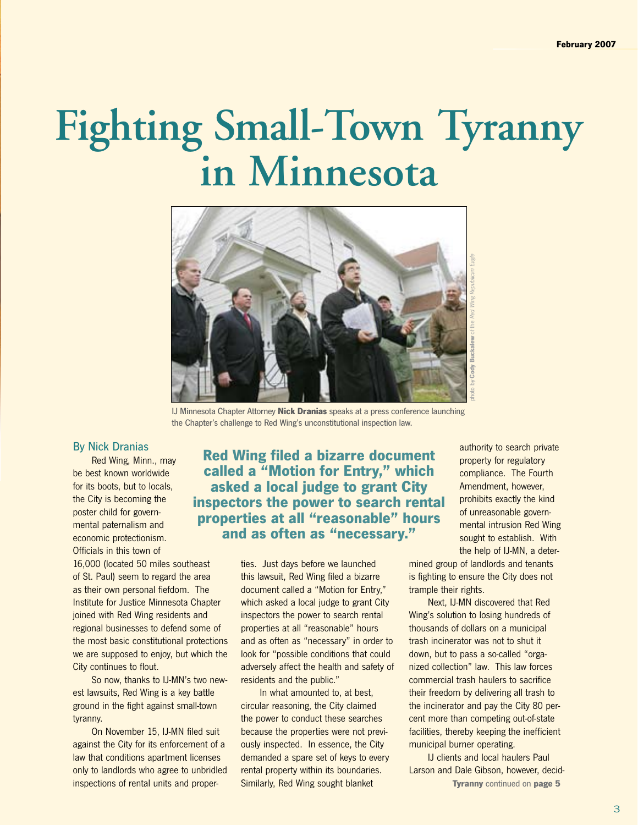## **Fighting Small-Town Tyranny in Minnesota**



IJ Minnesota Chapter Attorney **Nick Dranias** speaks at a press conference launching the Chapter's challenge to Red Wing's unconstitutional inspection law.

### By Nick Dranias

 Red Wing, Minn., may be best known worldwide for its boots, but to locals, the City is becoming the poster child for governmental paternalism and economic protectionism. Officials in this town of

16,000 (located 50 miles southeast of St. Paul) seem to regard the area as their own personal fiefdom. The Institute for Justice Minnesota Chapter joined with Red Wing residents and regional businesses to defend some of the most basic constitutional protections we are supposed to enjoy, but which the City continues to flout.

 So now, thanks to IJ-MN's two newest lawsuits, Red Wing is a key battle ground in the fight against small-town tyranny.

 On November 15, IJ-MN filed suit against the City for its enforcement of a law that conditions apartment licenses only to landlords who agree to unbridled inspections of rental units and proper-

**Red Wing filed a bizarre document called a "Motion for Entry," which asked a local judge to grant City inspectors the power to search rental properties at all "reasonable" hours and as often as "necessary."**

> ties. Just days before we launched this lawsuit, Red Wing filed a bizarre document called a "Motion for Entry," which asked a local judge to grant City inspectors the power to search rental properties at all "reasonable" hours and as often as "necessary" in order to look for "possible conditions that could adversely affect the health and safety of residents and the public."

 In what amounted to, at best, circular reasoning, the City claimed the power to conduct these searches because the properties were not previously inspected. In essence, the City demanded a spare set of keys to every rental property within its boundaries. Similarly, Red Wing sought blanket

authority to search private property for regulatory compliance. The Fourth Amendment, however, prohibits exactly the kind of unreasonable governmental intrusion Red Wing sought to establish. With the help of IJ-MN, a deter-

mined group of landlords and tenants is fighting to ensure the City does not trample their rights.

 Next, IJ-MN discovered that Red Wing's solution to losing hundreds of thousands of dollars on a municipal trash incinerator was not to shut it down, but to pass a so-called "organized collection" law. This law forces commercial trash haulers to sacrifice their freedom by delivering all trash to the incinerator and pay the City 80 percent more than competing out-of-state facilities, thereby keeping the inefficient municipal burner operating.

 IJ clients and local haulers Paul Larson and Dale Gibson, however, decid-**Tyranny** continued on **page 5**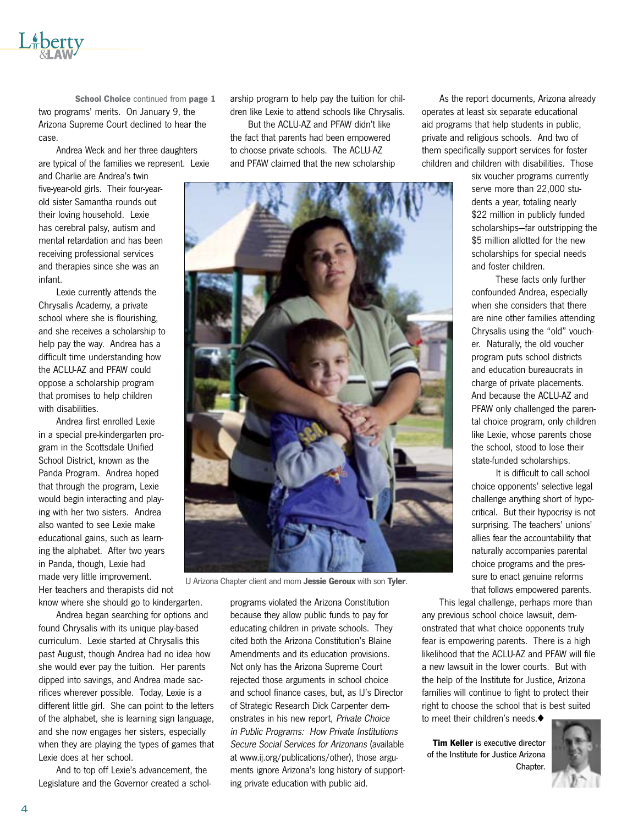

 Andrea Weck and her three daughters are typical of the families we represent. Lexie

and Charlie are Andrea's twin five-year-old girls. Their four-yearold sister Samantha rounds out their loving household. Lexie has cerebral palsy, autism and mental retardation and has been receiving professional services and therapies since she was an infant.

 Lexie currently attends the Chrysalis Academy, a private school where she is flourishing, and she receives a scholarship to help pay the way. Andrea has a difficult time understanding how the ACLU-AZ and PFAW could oppose a scholarship program that promises to help children with disabilities.

 Andrea first enrolled Lexie in a special pre-kindergarten program in the Scottsdale Unified School District, known as the Panda Program. Andrea hoped that through the program, Lexie would begin interacting and playing with her two sisters. Andrea also wanted to see Lexie make educational gains, such as learning the alphabet. After two years in Panda, though, Lexie had made very little improvement. Her teachers and therapists did not know where she should go to kindergarten.

 Andrea began searching for options and found Chrysalis with its unique play-based curriculum. Lexie started at Chrysalis this past August, though Andrea had no idea how she would ever pay the tuition. Her parents dipped into savings, and Andrea made sacrifices wherever possible. Today, Lexie is a different little girl. She can point to the letters of the alphabet, she is learning sign language, and she now engages her sisters, especially when they are playing the types of games that Lexie does at her school.

 And to top off Lexie's advancement, the Legislature and the Governor created a scholarship program to help pay the tuition for children like Lexie to attend schools like Chrysalis.

 But the ACLU-AZ and PFAW didn't like the fact that parents had been empowered to choose private schools. The ACLU-AZ and PFAW claimed that the new scholarship



IJ Arizona Chapter client and mom **Jessie Geroux** with son **Tyler**.

programs violated the Arizona Constitution because they allow public funds to pay for educating children in private schools. They cited both the Arizona Constitution's Blaine Amendments and its education provisions. Not only has the Arizona Supreme Court rejected those arguments in school choice and school finance cases, but, as IJ's Director of Strategic Research Dick Carpenter demonstrates in his new report, Private Choice in Public Programs: How Private Institutions Secure Social Services for Arizonans (available at www.ij.org/publications/other), those arguments ignore Arizona's long history of supporting private education with public aid.

 As the report documents, Arizona already operates at least six separate educational aid programs that help students in public, private and religious schools. And two of them specifically support services for foster children and children with disabilities. Those

> six voucher programs currently serve more than 22,000 students a year, totaling nearly \$22 million in publicly funded scholarships—far outstripping the \$5 million allotted for the new scholarships for special needs and foster children.

> These facts only further confounded Andrea, especially when she considers that there are nine other families attending Chrysalis using the "old" voucher. Naturally, the old voucher program puts school districts and education bureaucrats in charge of private placements. And because the ACLU-AZ and PFAW only challenged the parental choice program, only children like Lexie, whose parents chose the school, stood to lose their state-funded scholarships.

> It is difficult to call school choice opponents' selective legal challenge anything short of hypocritical. But their hypocrisy is not surprising. The teachers' unions' allies fear the accountability that naturally accompanies parental choice programs and the pressure to enact genuine reforms that follows empowered parents.

 This legal challenge, perhaps more than

any previous school choice lawsuit, demonstrated that what choice opponents truly fear is empowering parents. There is a high likelihood that the ACLU-AZ and PFAW will file a new lawsuit in the lower courts. But with the help of the Institute for Justice, Arizona families will continue to fight to protect their right to choose the school that is best suited to meet their children's needs. $\blacklozenge$ 

**Tim Keller** is executive director of the Institute for Justice Arizona Chapter.

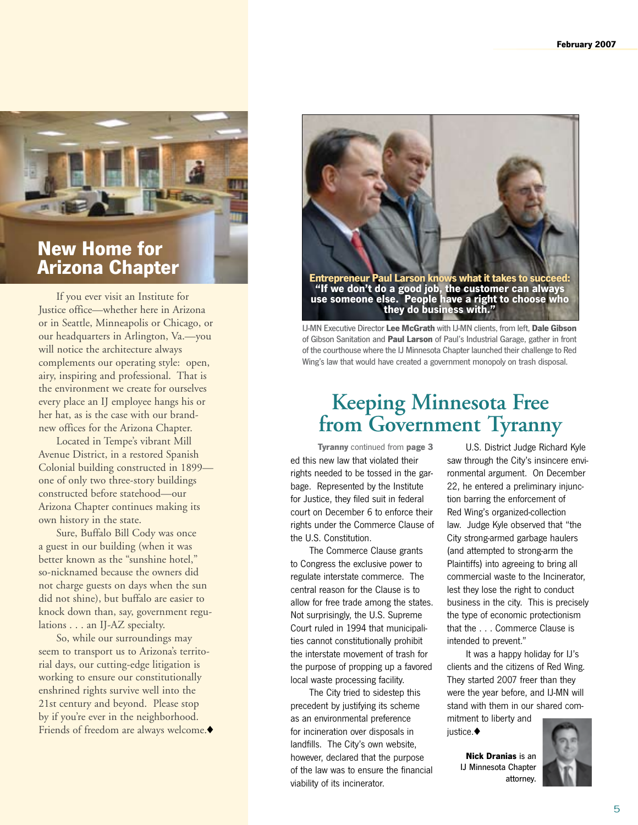

### **New Home for Arizona Chapter**

 If you ever visit an Institute for Justice office—whether here in Arizona or in Seattle, Minneapolis or Chicago, or our headquarters in Arlington, Va.—you will notice the architecture always complements our operating style: open, airy, inspiring and professional. That is the environment we create for ourselves every place an IJ employee hangs his or her hat, as is the case with our brandnew offices for the Arizona Chapter.

 Located in Tempe's vibrant Mill Avenue District, in a restored Spanish Colonial building constructed in 1899 one of only two three-story buildings constructed before statehood—our Arizona Chapter continues making its own history in the state.

 Sure, Buffalo Bill Cody was once a guest in our building (when it was better known as the "sunshine hotel," so-nicknamed because the owners did not charge guests on days when the sun did not shine), but buffalo are easier to knock down than, say, government regulations . . . an IJ-AZ specialty.

 So, while our surroundings may seem to transport us to Arizona's territorial days, our cutting-edge litigation is working to ensure our constitutionally enshrined rights survive well into the 21st century and beyond. Please stop by if you're ever in the neighborhood. Friends of freedom are always welcome. $\blacklozenge$ 



IJ-MN Executive Director **Lee McGrath** with IJ-MN clients, from left, **Dale Gibson** of Gibson Sanitation and **Paul Larson** of Paul's Industrial Garage, gather in front of the courthouse where the IJ Minnesota Chapter launched their challenge to Red Wing's law that would have created a government monopoly on trash disposal.

### **Keeping Minnesota Free from Government Tyranny**

ed this new law that violated their rights needed to be tossed in the garbage. Represented by the Institute for Justice, they filed suit in federal court on December 6 to enforce their rights under the Commerce Clause of the U.S. Constitution. **Tyranny** continued from **page 3**

 The Commerce Clause grants to Congress the exclusive power to regulate interstate commerce. The central reason for the Clause is to allow for free trade among the states. Not surprisingly, the U.S. Supreme Court ruled in 1994 that municipalities cannot constitutionally prohibit the interstate movement of trash for the purpose of propping up a favored local waste processing facility.

 The City tried to sidestep this precedent by justifying its scheme as an environmental preference for incineration over disposals in landfills. The City's own website, however, declared that the purpose of the law was to ensure the financial viability of its incinerator.

 U.S. District Judge Richard Kyle saw through the City's insincere environmental argument. On December 22, he entered a preliminary injunction barring the enforcement of Red Wing's organized-collection law. Judge Kyle observed that "the City strong-armed garbage haulers (and attempted to strong-arm the Plaintiffs) into agreeing to bring all commercial waste to the Incinerator, lest they lose the right to conduct business in the city. This is precisely the type of economic protectionism that the . . . Commerce Clause is intended to prevent."

 It was a happy holiday for IJ's clients and the citizens of Red Wing. They started 2007 freer than they were the year before, and IJ-MN will stand with them in our shared commitment to liberty and

iustice. $\blacklozenge$ 

**Nick Dranias** is an IJ Minnesota Chapter attorney.

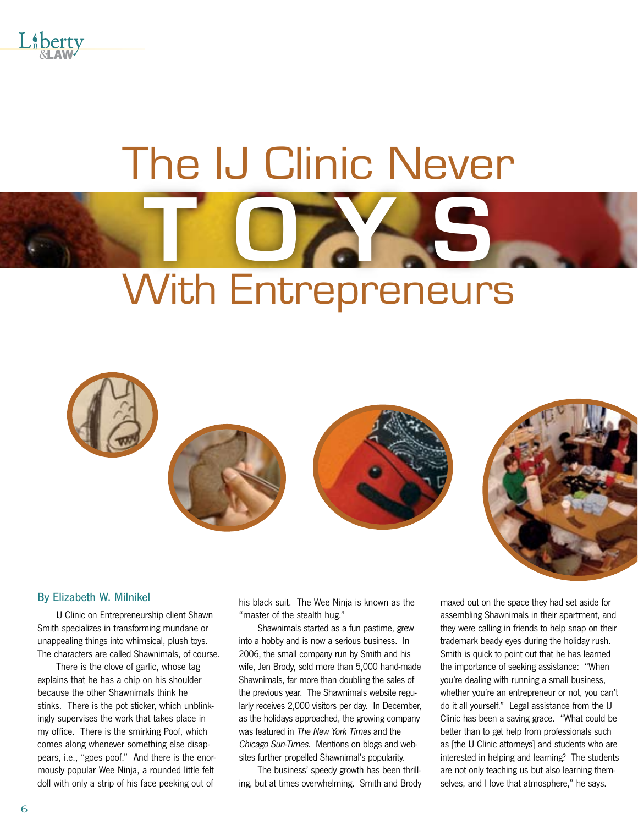

# The IJ Clinic Never With Entrepreneurs **T o y s**



### By Elizabeth W. Milnikel

 IJ Clinic on Entrepreneurship client Shawn Smith specializes in transforming mundane or unappealing things into whimsical, plush toys. The characters are called Shawnimals, of course.

 There is the clove of garlic, whose tag explains that he has a chip on his shoulder because the other Shawnimals think he stinks. There is the pot sticker, which unblinkingly supervises the work that takes place in my office. There is the smirking Poof, which comes along whenever something else disappears, i.e., "goes poof." And there is the enormously popular Wee Ninja, a rounded little felt doll with only a strip of his face peeking out of

his black suit. The Wee Ninja is known as the "master of the stealth hug."

 Shawnimals started as a fun pastime, grew into a hobby and is now a serious business. In 2006, the small company run by Smith and his wife, Jen Brody, sold more than 5,000 hand-made Shawnimals, far more than doubling the sales of the previous year. The Shawnimals website regularly receives 2,000 visitors per day. In December, as the holidays approached, the growing company was featured in The New York Times and the Chicago Sun-Times. Mentions on blogs and websites further propelled Shawnimal's popularity.

 The business' speedy growth has been thrilling, but at times overwhelming. Smith and Brody maxed out on the space they had set aside for assembling Shawnimals in their apartment, and they were calling in friends to help snap on their trademark beady eyes during the holiday rush. Smith is quick to point out that he has learned the importance of seeking assistance: "When you're dealing with running a small business, whether you're an entrepreneur or not, you can't do it all yourself." Legal assistance from the IJ Clinic has been a saving grace. "What could be better than to get help from professionals such as [the IJ Clinic attorneys] and students who are interested in helping and learning? The students are not only teaching us but also learning themselves, and I love that atmosphere," he says.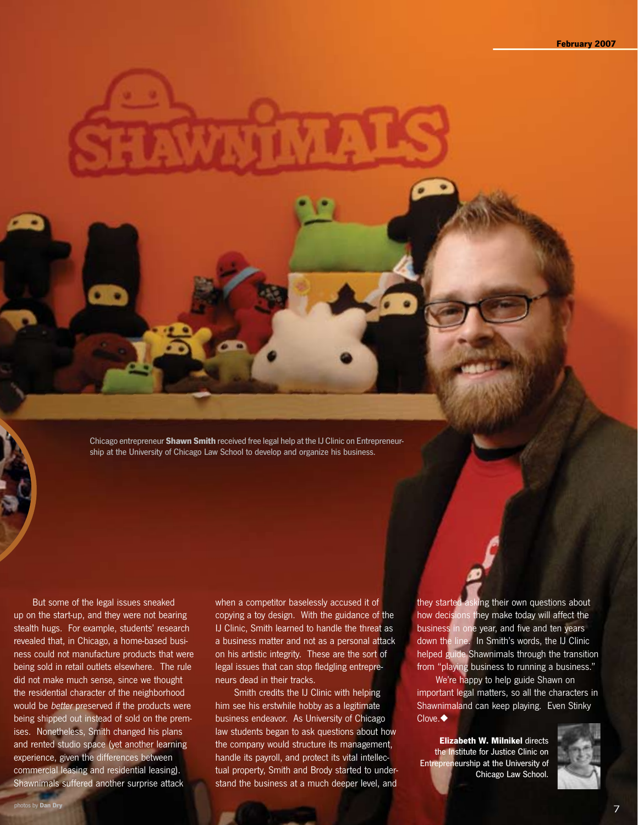Chicago entrepreneur **Shawn Smith** received free legal help at the IJ Clinic on Entrepreneurship at the University of Chicago Law School to develop and organize his business.

 But some of the legal issues sneaked up on the start-up, and they were not bearing stealth hugs. For example, students' research revealed that, in Chicago, a home-based business could not manufacture products that were being sold in retail outlets elsewhere. The rule did not make much sense, since we thought the residential character of the neighborhood would be better preserved if the products were being shipped out instead of sold on the premises. Nonetheless, Smith changed his plans and rented studio space (yet another learning experience, given the differences between commercial leasing and residential leasing). Shawnimals suffered another surprise attack

when a competitor baselessly accused it of copying a toy design. With the guidance of the IJ Clinic, Smith learned to handle the threat as a business matter and not as a personal attack on his artistic integrity. These are the sort of legal issues that can stop fledgling entrepreneurs dead in their tracks.

 Smith credits the IJ Clinic with helping him see his erstwhile hobby as a legitimate business endeavor. As University of Chicago law students began to ask questions about how the company would structure its management, handle its payroll, and protect its vital intellectual property, Smith and Brody started to understand the business at a much deeper level, and they started asking their own questions about how decisions they make today will affect the business in one year, and five and ten years down the line. In Smith's words, the IJ Clinic helped guide Shawnimals through the transition from "playing business to running a business."

 We're happy to help guide Shawn on important legal matters, so all the characters in Shawnimaland can keep playing. Even Stinky  $C$ love. $\blacklozenge$ 

**Elizabeth W. Milnikel** directs the Institute for Justice Clinic on Entrepreneurship at the University of Chicago Law School.

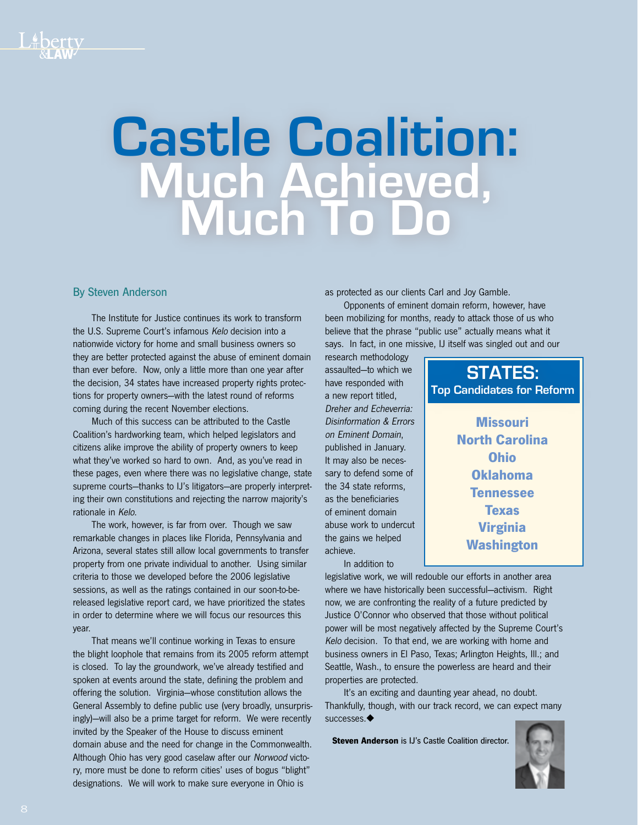# **Castle Coalition: Much Achieved, Much To Do**

### By Steven Anderson

 The Institute for Justice continues its work to transform the U.S. Supreme Court's infamous Kelo decision into a nationwide victory for home and small business owners so they are better protected against the abuse of eminent domain than ever before. Now, only a little more than one year after the decision, 34 states have increased property rights protections for property owners—with the latest round of reforms coming during the recent November elections.

 Much of this success can be attributed to the Castle Coalition's hardworking team, which helped legislators and citizens alike improve the ability of property owners to keep what they've worked so hard to own. And, as you've read in these pages, even where there was no legislative change, state supreme courts—thanks to IJ's litigators—are properly interpreting their own constitutions and rejecting the narrow majority's rationale in Kelo.

 The work, however, is far from over. Though we saw remarkable changes in places like Florida, Pennsylvania and Arizona, several states still allow local governments to transfer property from one private individual to another. Using similar criteria to those we developed before the 2006 legislative sessions, as well as the ratings contained in our soon-to-bereleased legislative report card, we have prioritized the states in order to determine where we will focus our resources this year.

 That means we'll continue working in Texas to ensure the blight loophole that remains from its 2005 reform attempt is closed. To lay the groundwork, we've already testified and spoken at events around the state, defining the problem and offering the solution. Virginia—whose constitution allows the General Assembly to define public use (very broadly, unsurprisingly)—will also be a prime target for reform. We were recently invited by the Speaker of the House to discuss eminent domain abuse and the need for change in the Commonwealth. Although Ohio has very good caselaw after our Norwood victory, more must be done to reform cities' uses of bogus "blight" designations. We will work to make sure everyone in Ohio is

as protected as our clients Carl and Joy Gamble.

 Opponents of eminent domain reform, however, have been mobilizing for months, ready to attack those of us who believe that the phrase "public use" actually means what it says. In fact, in one missive, IJ itself was singled out and our

research methodology assaulted—to which we have responded with a new report titled, Dreher and Echeverria: Disinformation & Errors on Eminent Domain, published in January. It may also be necessary to defend some of the 34 state reforms, as the beneficiaries of eminent domain abuse work to undercut the gains we helped achieve.

 In addition to

legislative work, we will redouble our efforts in another area where we have historically been successful—activism. Right now, we are confronting the reality of a future predicted by Justice O'Connor who observed that those without political power will be most negatively affected by the Supreme Court's Kelo decision. To that end, we are working with home and business owners in El Paso, Texas; Arlington Heights, Ill.; and Seattle, Wash., to ensure the powerless are heard and their properties are protected.

 It's an exciting and daunting year ahead, no doubt. Thankfully, though, with our track record, we can expect many successes  $\blacklozenge$ 

**Steven Anderson** is IJ's Castle Coalition director.



**Missouri North Carolina Ohio Oklahoma**

STATES: **Top Candidates for Reform**

> **Tennessee Texas Virginia**

**Washington**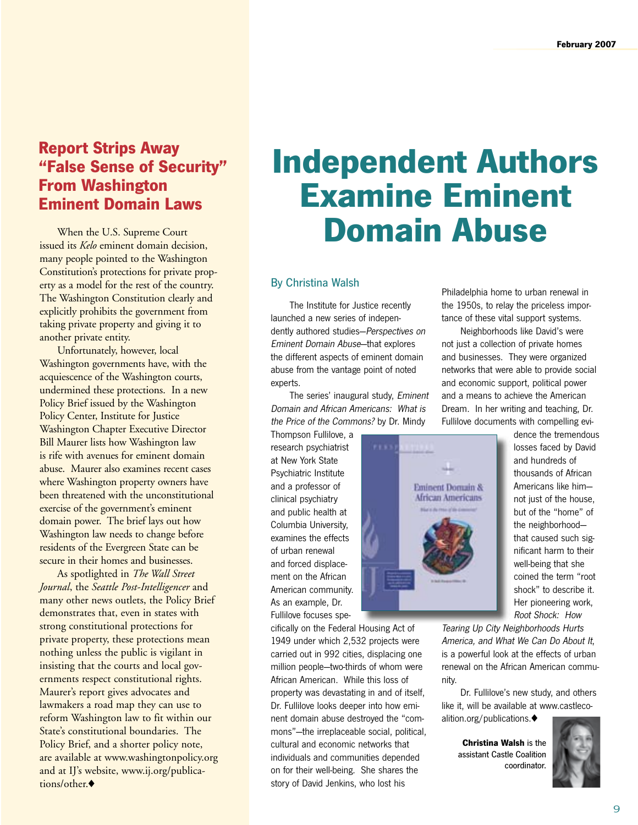### **Report Strips Away "False Sense of Security" From Washington Eminent Domain Laws**

When the U.S. Supreme Court issued its *Kelo* eminent domain many people pointed to the Washington Constitution's protections for private property as a model for the rest of the country. The Washington Constitution clearly and explicitly prohibits the government from taking private property and giving it to another private entity.

 Unfortunately, however, local Washington governments have, with the acquiescence of the Washington courts, undermined these protections. In a new Policy Brief issued by the Washington Policy Center, Institute for Justice Washington Chapter Executive Director Bill Maurer lists how Washington law is rife with avenues for eminent domain abuse. Maurer also examines recent cases where Washington property owners have been threatened with the unconstitutional exercise of the government's eminent domain power. The brief lays out how Washington law needs to change before residents of the Evergreen State can be secure in their homes and businesses.

 As spotlighted in *The Wall Street Journal*, the *Seattle Post-Intelligencer* and many other news outlets, the Policy Brief demonstrates that, even in states with strong constitutional protections for private property, these protections mean nothing unless the public is vigilant in insisting that the courts and local governments respect constitutional rights. Maurer's report gives advocates and lawmakers a road map they can use to reform Washington law to fit within our State's constitutional boundaries. The Policy Brief, and a shorter policy note, are available at www.washingtonpolicy.org and at IJ's website, www.ij.org/publications/other.

### **Independent Authors Examine Eminent Domain Abuse**

### By Christina Walsh

 The Institute for Justice recently launched a new series of independently authored studies—Perspectives on Eminent Domain Abuse—that explores the different aspects of eminent domain abuse from the vantage point of noted experts.

 The series' inaugural study, Eminent Domain and African Americans: What is the Price of the Commons? by Dr. Mindy

Thompson Fullilove, a research psychiatrist at New York State Psychiatric Institute and a professor of clinical psychiatry and public health at Columbia University, examines the effects of urban renewal and forced displacement on the African American community. As an example, Dr. Fullilove focuses spe-

cifically on the Federal Housing Act of 1949 under which 2,532 projects were carried out in 992 cities, displacing one million people—two-thirds of whom were African American. While this loss of property was devastating in and of itself, Dr. Fullilove looks deeper into how eminent domain abuse destroyed the "commons"—the irreplaceable social, political, cultural and economic networks that individuals and communities depended on for their well-being. She shares the story of David Jenkins, who lost his

Philadelphia home to urban renewal in the 1950s, to relay the priceless importance of these vital support systems.

 Neighborhoods like David's were not just a collection of private homes and businesses. They were organized networks that were able to provide social and economic support, political power and a means to achieve the American Dream. In her writing and teaching, Dr. Fullilove documents with compelling evi-



dence the tremendous losses faced by David and hundreds of thousands of African Americans like him not just of the house. but of the "home" of the neighborhood that caused such significant harm to their well-being that she coined the term "root shock" to describe it. Her pioneering work, Root Shock: How

Tearing Up City Neighborhoods Hurts America, and What We Can Do About It, is a powerful look at the effects of urban renewal on the African American community.

 Dr. Fullilove's new study, and others like it, will be available at www.castlecoalition.org/publications. $\blacklozenge$ 

> **Christina Walsh** is the assistant Castle Coalition coordinator.

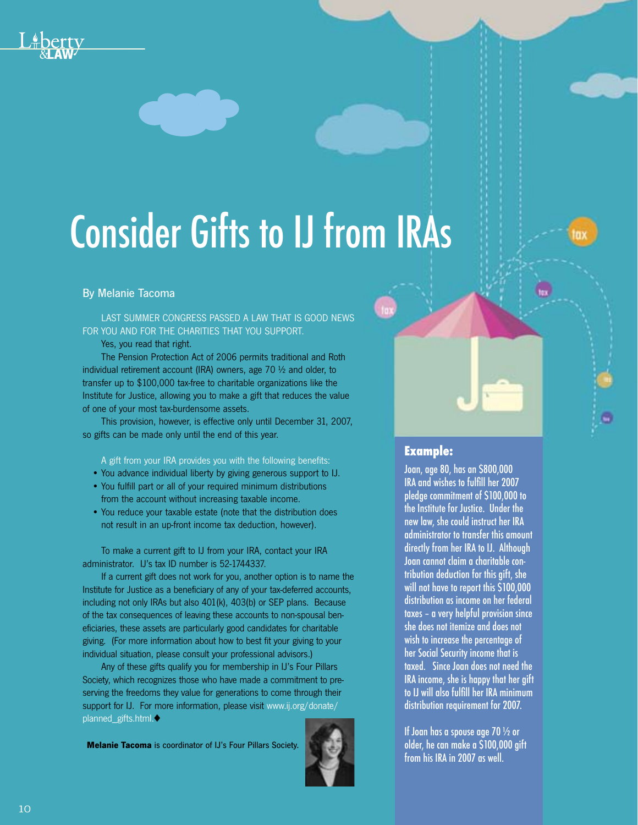# Consider Gifts to IJ from IRAs

### By Melanie Tacoma

Last summer Congress passed a law that is good news FOR YOU AND FOR THE CHARITIES THAT YOU SUPPORT.

 Yes, you read that right.

 The Pension Protection Act of 2006 permits traditional and Roth individual retirement account (IRA) owners, age 70 ½ and older, to transfer up to \$100,000 tax-free to charitable organizations like the Institute for Justice, allowing you to make a gift that reduces the value of one of your most tax-burdensome assets.

 This provision, however, is effective only until December 31, 2007, so gifts can be made only until the end of this year.

A gift from your IRA provides you with the following benefits:

- You advance individual liberty by giving generous support to IJ.
- You fulfill part or all of your required minimum distributions from the account without increasing taxable income.
- You reduce your taxable estate (note that the distribution does not result in an up-front income tax deduction, however).

 To make a current gift to IJ from your IRA, contact your IRA administrator. IJ's tax ID number is 52-1744337.

 If a current gift does not work for you, another option is to name the Institute for Justice as a beneficiary of any of your tax-deferred accounts, including not only IRAs but also 401(k), 403(b) or SEP plans. Because of the tax consequences of leaving these accounts to non-spousal beneficiaries, these assets are particularly good candidates for charitable giving. (For more information about how to best fit your giving to your individual situation, please consult your professional advisors.)

 Any of these gifts qualify you for membership in IJ's Four Pillars Society, which recognizes those who have made a commitment to preserving the freedoms they value for generations to come through their support for IJ. For more information, please visit www.ij.org/donate/ planned\_gifts.html.

**Melanie Tacoma** is coordinator of IJ's Four Pillars Society.



### **Example:**

Joan, age 80, has an \$800,000 IRA and wishes to fulfill her 2007 pledge commitment of \$100,000 to the Institute for Justice. Under the new law, she could instruct her IRA administrator to transfer this amount directly from her IRA to IJ. Although Joan cannot claim a charitable contribution deduction for this gift, she will not have to report this \$100,000 distribution as income on her federal taxes – a very helpful provision since she does not itemize and does not wish to increase the percentage of her Social Security income that is taxed. Since Joan does not need the IRA income, she is happy that her gift to IJ will also fulfill her IRA minimum distribution requirement for 2007.

If Joan has a spouse age 70 ½ or older, he can make a \$100,000 gift from his IRA in 2007 as well.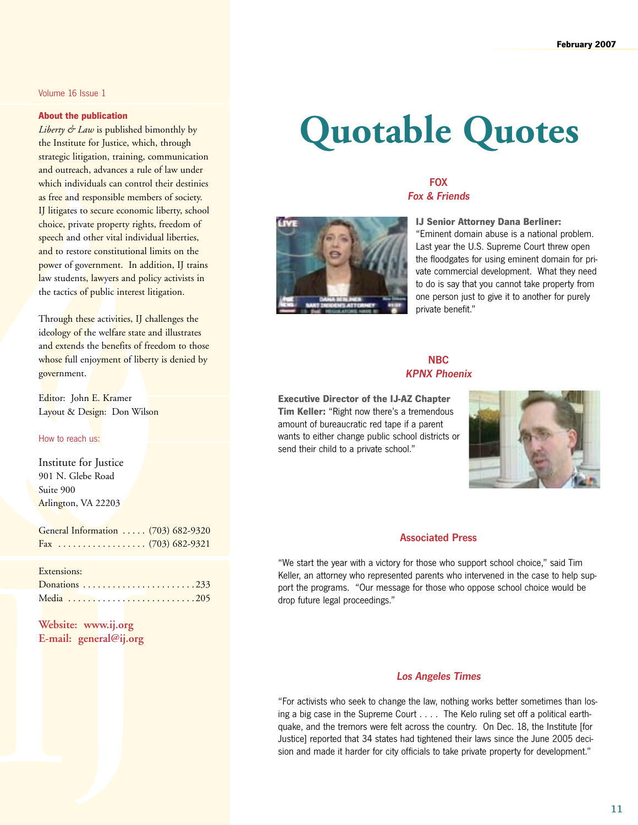### Volume 16 Issue 1

### **About the publication**

*Liberty & Law* is published bimonthly by the Institute for Justice, which, through strategic litigation, training, communication and outreach, advances a rule of law under which individuals can control their destinies as free and responsible members of society. IJ litigates to secure economic liberty, school choice, private property rights, freedom of speech and other vital individual liberties, and to restore constitutional limits on the power of government. In addition, IJ trains law students, lawyers and policy activists in the tactics of public interest litigation.

Through these activities, IJ challenges the ideology of the welfare state and illustrates and extends the benefits of freedom to those whose full enjoyment of liberty is denied by government.

Editor: John E. Kramer Layout & Design: Don Wilson

### How to reach us:

Institute for Justice 901 N. Glebe Road Suite 900 Arlington, VA 22203

General Information ..... (703) 682-9320 Fax . . (703) 682-9321

### Extensions:

**Website: www.ij.org E-mail: general@ij.org**

## **Quotable Quotes**

### FOX Fox & Friends



**IJ Senior Attorney Dana Berliner:**  "Eminent domain abuse is a national problem. Last year the U.S. Supreme Court threw open the floodgates for using eminent domain for private commercial development. What they need to do is say that you cannot take property from one person just to give it to another for purely private benefit."

### **NBC** KPNX Phoenix

**Executive Director of the IJ-AZ Chapter Tim Keller:** "Right now there's a tremendous amount of bureaucratic red tape if a parent wants to either change public school districts or send their child to a private school."



### Associated Press

"We start the year with a victory for those who support school choice," said Tim Keller, an attorney who represented parents who intervened in the case to help support the programs. "Our message for those who oppose school choice would be drop future legal proceedings."

### Los Angeles Times

"For activists who seek to change the law, nothing works better sometimes than losing a big case in the Supreme Court . . . . The Kelo ruling set off a political earthquake, and the tremors were felt across the country. On Dec. 18, the Institute [for Justice] reported that 34 states had tightened their laws since the June 2005 decision and made it harder for city officials to take private property for development."